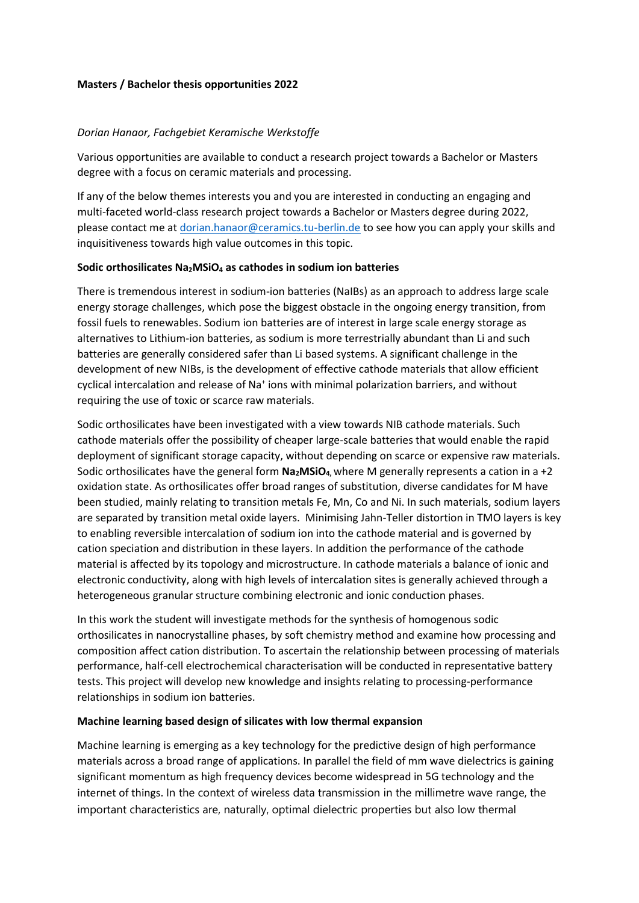### **Masters / Bachelor thesis opportunities 2022**

### *Dorian Hanaor, Fachgebiet Keramische Werkstoffe*

Various opportunities are available to conduct a research project towards a Bachelor or Masters degree with a focus on ceramic materials and processing.

If any of the below themes interests you and you are interested in conducting an engaging and multi-faceted world-class research project towards a Bachelor or Masters degree during 2022, please contact me a[t dorian.hanaor@ceramics.tu-berlin.de](mailto:dorian.hanaor@ceramics.tu-berlin.de) to see how you can apply your skills and inquisitiveness towards high value outcomes in this topic.

#### **Sodic orthosilicates Na2MSiO<sup>4</sup> as cathodes in sodium ion batteries**

There is tremendous interest in sodium-ion batteries (NaIBs) as an approach to address large scale energy storage challenges, which pose the biggest obstacle in the ongoing energy transition, from fossil fuels to renewables. Sodium ion batteries are of interest in large scale energy storage as alternatives to Lithium-ion batteries, as sodium is more terrestrially abundant than Li and such batteries are generally considered safer than Li based systems. A significant challenge in the development of new NIBs, is the development of effective cathode materials that allow efficient cyclical intercalation and release of Na<sup>+</sup> ions with minimal polarization barriers, and without requiring the use of toxic or scarce raw materials.

Sodic orthosilicates have been investigated with a view towards NIB cathode materials. Such cathode materials offer the possibility of cheaper large-scale batteries that would enable the rapid deployment of significant storage capacity, without depending on scarce or expensive raw materials. Sodic orthosilicates have the general form **Na2MSiO4,** where M generally represents a cation in a +2 oxidation state. As orthosilicates offer broad ranges of substitution, diverse candidates for M have been studied, mainly relating to transition metals Fe, Mn, Co and Ni. In such materials, sodium layers are separated by transition metal oxide layers. Minimising Jahn-Teller distortion in TMO layers is key to enabling reversible intercalation of sodium ion into the cathode material and is governed by cation speciation and distribution in these layers. In addition the performance of the cathode material is affected by its topology and microstructure. In cathode materials a balance of ionic and electronic conductivity, along with high levels of intercalation sites is generally achieved through a heterogeneous granular structure combining electronic and ionic conduction phases.

In this work the student will investigate methods for the synthesis of homogenous sodic orthosilicates in nanocrystalline phases, by soft chemistry method and examine how processing and composition affect cation distribution. To ascertain the relationship between processing of materials performance, half-cell electrochemical characterisation will be conducted in representative battery tests. This project will develop new knowledge and insights relating to processing-performance relationships in sodium ion batteries.

#### **Machine learning based design of silicates with low thermal expansion**

Machine learning is emerging as a key technology for the predictive design of high performance materials across a broad range of applications. In parallel the field of mm wave dielectrics is gaining significant momentum as high frequency devices become widespread in 5G technology and the internet of things. In the context of wireless data transmission in the millimetre wave range, the important characteristics are, naturally, optimal dielectric properties but also low thermal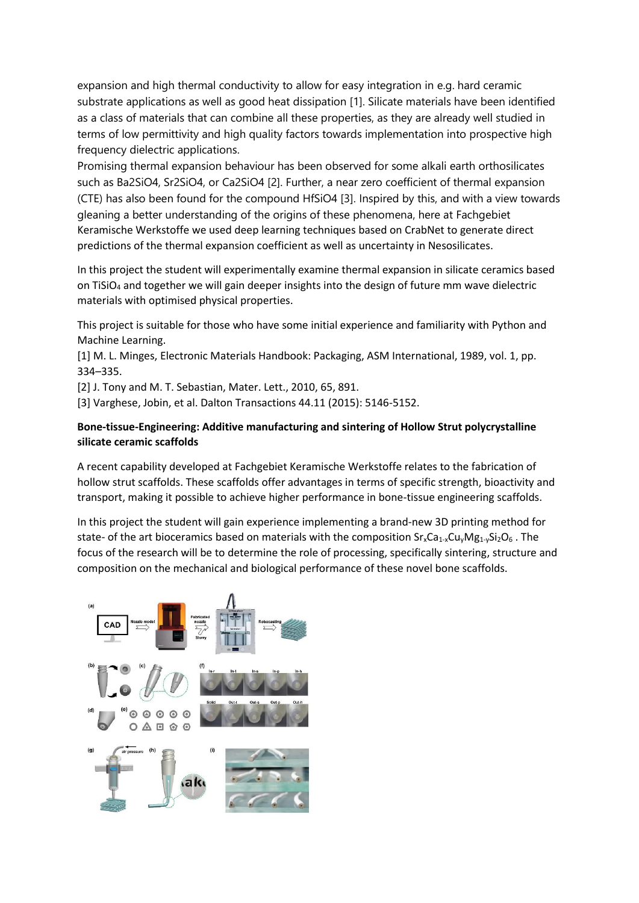expansion and high thermal conductivity to allow for easy integration in e.g. hard ceramic substrate applications as well as good heat dissipation [1]. Silicate materials have been identified as a class of materials that can combine all these properties, as they are already well studied in terms of low permittivity and high quality factors towards implementation into prospective high frequency dielectric applications.

Promising thermal expansion behaviour has been observed for some alkali earth orthosilicates such as Ba2SiO4, Sr2SiO4, or Ca2SiO4 [2]. Further, a near zero coefficient of thermal expansion (CTE) has also been found for the compound HfSiO4 [3]. Inspired by this, and with a view towards gleaning a better understanding of the origins of these phenomena, here at Fachgebiet Keramische Werkstoffe we used deep learning techniques based on CrabNet to generate direct predictions of the thermal expansion coefficient as well as uncertainty in Nesosilicates.

In this project the student will experimentally examine thermal expansion in silicate ceramics based on TiSiO<sub>4</sub> and together we will gain deeper insights into the design of future mm wave dielectric materials with optimised physical properties.

This project is suitable for those who have some initial experience and familiarity with Python and Machine Learning.

[1] M. L. Minges, Electronic Materials Handbook: Packaging, ASM International, 1989, vol. 1, pp. 334–335.

[2] J. Tony and M. T. Sebastian, Mater. Lett., 2010, 65, 891.

[3] Varghese, Jobin, et al. Dalton Transactions 44.11 (2015): 5146-5152.

## **Bone-tissue-Engineering: Additive manufacturing and sintering of Hollow Strut polycrystalline silicate ceramic scaffolds**

A recent capability developed at Fachgebiet Keramische Werkstoffe relates to the fabrication of hollow strut scaffolds. These scaffolds offer advantages in terms of specific strength, bioactivity and transport, making it possible to achieve higher performance in bone-tissue engineering scaffolds.

In this project the student will gain experience implementing a brand-new 3D printing method for state- of the art bioceramics based on materials with the composition  $Sr_xCa_{1-x}Cu_yMg_{1-y}Si_2O_6$ . The focus of the research will be to determine the role of processing, specifically sintering, structure and composition on the mechanical and biological performance of these novel bone scaffolds.